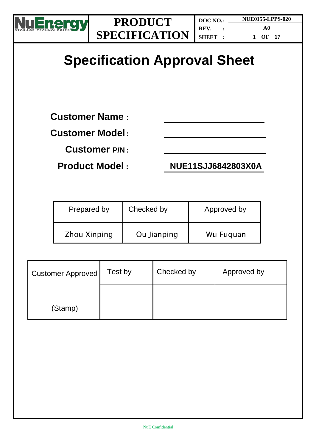

**1 OF 17**

# **Specification Approval Sheet**

**Customer Name :**

### **Customer Model:**

**Customer P/N :**

**Product Model : NUE11SJJ6842803X0A**

| Prepared by  | Checked by  | Approved by |
|--------------|-------------|-------------|
| Zhou Xinping | Ou Jianping | Wu Fuguan   |

| <b>Customer Approved</b> | Test by | Checked by | Approved by |
|--------------------------|---------|------------|-------------|
| (Stamp)                  |         |            |             |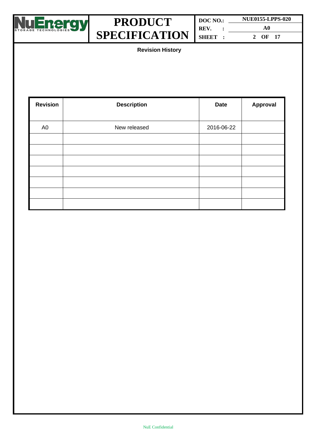

**DOC NO.: REV. : SHEET : NUE0155-LPPS-020 A0 2 OF 17**

**Revision History**

| <b>Revision</b> | <b>Description</b> | <b>Date</b> | Approval |
|-----------------|--------------------|-------------|----------|
| A <sub>0</sub>  | New released       | 2016-06-22  |          |
|                 |                    |             |          |
|                 |                    |             |          |
|                 |                    |             |          |
|                 |                    |             |          |
|                 |                    |             |          |
|                 |                    |             |          |
|                 |                    |             |          |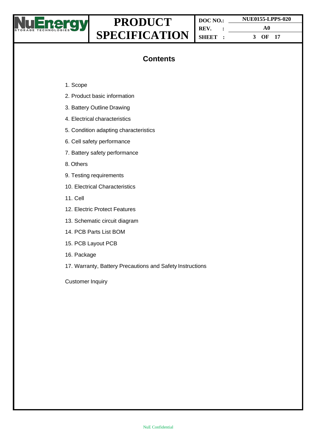

**DOC NO.: REV. : SHEET : NUE0155-LPPS-020 A0 3 OF 17**

### **Contents**

- 1. Scope
- 2. Product basic information
- 3. Battery Outline Drawing
- 4. Electrical characteristics
- 5. Condition adapting characteristics
- 6. Cell safety performance
- 7. Battery safety performance
- 8. Others
- 9. Testing requirements
- 10. Electrical Characteristics
- 11. Cell
- 12. Electric Protect Features
- 13. Schematic circuit diagram
- 14. PCB Parts List BOM
- 15. PCB Layout PCB
- 16. Package
- 17. Warranty, Battery Precautions and Safety Instructions

Customer Inquiry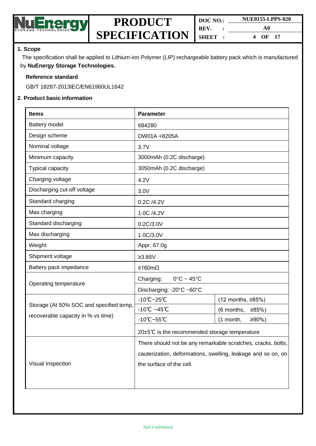

| DOC NO. | <b>NUE0155-LPPS-020</b> |
|---------|-------------------------|
| REV.    | A0                      |
| SHEET:  | 4<br>OF <sub>17</sub>   |

#### **1. Scope**

The specification shall be applied to Lithium-ion Polymer (LIP) rechargeable battery pack which is manufactured by **NuEnergy Storage Technologies.**

#### **Reference standard**

GB/T 18287-2013IEC/EN61960UL1642

#### **2. Product basic information**

| <b>Items</b>                            | <b>Parameter</b>                                             |                        |  |
|-----------------------------------------|--------------------------------------------------------------|------------------------|--|
| Battery model                           | 684280                                                       |                        |  |
| Design scheme                           | DW01A +8205A                                                 |                        |  |
| Nominal voltage                         | 3.7V                                                         |                        |  |
| Minimum capacity                        | 3000mAh (0.2C discharge)                                     |                        |  |
| <b>Typical capacity</b>                 | 3050mAh (0.2C discharge)                                     |                        |  |
| Charging voltage                        | 4.2V                                                         |                        |  |
| Discharging cut-off voltage             | 3.0V                                                         |                        |  |
| Standard charging                       | 0.2C /4.2V                                                   |                        |  |
| Max charging                            | 1.0C /4.2V                                                   |                        |  |
| Standard discharging                    | 0.2C/3.0V                                                    |                        |  |
| Max discharging                         | 1.0C/3.0V                                                    |                        |  |
| Weight                                  | Appr. 67.0g                                                  |                        |  |
| Shipment voltage                        | $≥3.85V$                                                     |                        |  |
| Battery pack impedance                  | ≤160mΩ                                                       |                        |  |
|                                         | Charging:<br>$0^{\circ}$ C ~ 45 $^{\circ}$ C                 |                        |  |
| Operating temperature                   | Discharging: -20°C ~60°C                                     |                        |  |
|                                         | $-10^{\circ}$ C $-25^{\circ}$ C                              | (12 months, ≥85%)      |  |
| Storage (At 50% SOC and specified temp, | $-10^{\circ}$ C ~45 $^{\circ}$ C                             | $≥85%$ )<br>(6 months, |  |
| recoverable capacity in % vs time)      | $-10^{\circ}$ C $-55^{\circ}$ C                              | (1 month,<br>≥90%      |  |
|                                         | 20±5℃ is the recommended storage temperature                 |                        |  |
|                                         | There should not be any remarkable scratches, cracks, bolts, |                        |  |
|                                         | cauterization, deformations, swelling, leakage and so on, on |                        |  |
| Visual Inspection                       | the surface of the cell.                                     |                        |  |
|                                         |                                                              |                        |  |
|                                         |                                                              |                        |  |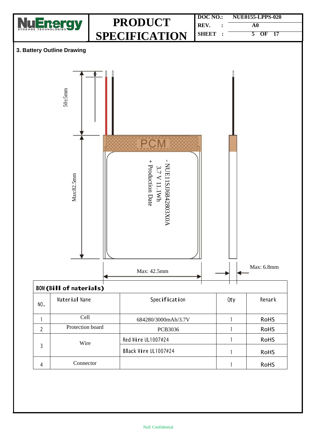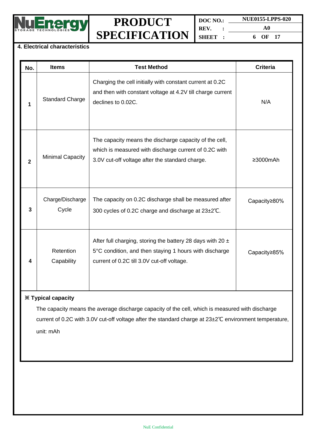

**DOC NO.: REV. : SHEET : NUE0155-LPPS-020 A0 6 OF 17**

#### **4. Electrical characteristics**

| No.          | <b>Items</b>              | <b>Test Method</b>                                                                                                                                                     | <b>Criteria</b> |
|--------------|---------------------------|------------------------------------------------------------------------------------------------------------------------------------------------------------------------|-----------------|
| 1            | <b>Standard Charge</b>    | Charging the cell initially with constant current at 0.2C<br>and then with constant voltage at 4.2V till charge current<br>declines to 0.02C.                          | N/A             |
| $\mathbf{2}$ | <b>Minimal Capacity</b>   | The capacity means the discharge capacity of the cell,<br>which is measured with discharge current of 0.2C with<br>3.0V cut-off voltage after the standard charge.     | ≥3000mAh        |
| 3            | Charge/Discharge<br>Cycle | The capacity on 0.2C discharge shall be measured after<br>300 cycles of 0.2C charge and discharge at 23±2°C.                                                           | Capacity≥80%    |
|              | Retention<br>Capability   | After full charging, storing the battery 28 days with 20 $\pm$<br>5°C condition, and then staying 1 hours with discharge<br>current of 0.2C till 3.0V cut-off voltage. | Capacity≥85%    |

#### **※ Typical capacity**

The capacity means the average discharge capacity of the cell, which is measured with discharge current of 0.2C with 3.0V cut-off voltage after the standard charge at 23±2℃ environment temperature, unit: mAh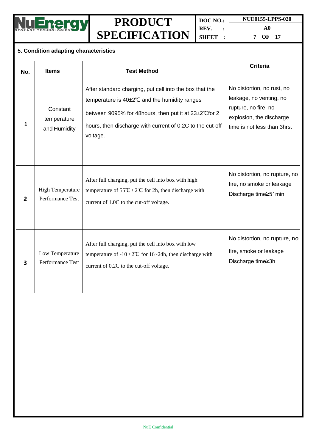

**DOC NO.: REV. : SHEET :**

**NUE0155-LPPS-020 A0 7 OF 17**

#### **5. Condition adapting characteristics**

| No.          | <b>Items</b>                                | <b>Test Method</b>                                                                                                                                                                                                                           | <b>Criteria</b>                                                                                                                          |
|--------------|---------------------------------------------|----------------------------------------------------------------------------------------------------------------------------------------------------------------------------------------------------------------------------------------------|------------------------------------------------------------------------------------------------------------------------------------------|
| 1            | Constant<br>temperature<br>and Humidity     | After standard charging, put cell into the box that the<br>temperature is 40±2°C and the humidity ranges<br>between 9095% for 48 hours, then put it at 23±2°C for 2<br>hours, then discharge with current of 0.2C to the cut-off<br>voltage. | No distortion, no rust, no<br>leakage, no venting, no<br>rupture, no fire, no<br>explosion, the discharge<br>time is not less than 3hrs. |
| $\mathbf{z}$ | <b>High Temperature</b><br>Performance Test | After full charging, put the cell into box with high<br>temperature of $55^{\circ}C \pm 2^{\circ}C$ for 2h, then discharge with<br>current of 1.0C to the cut-off voltage.                                                                   | No distortion, no rupture, no<br>fire, no smoke or leakage<br>Discharge time≥51min                                                       |
| 3            | Low Temperature<br>Performance Test         | After full charging, put the cell into box with low<br>temperature of $-10\pm 2^{\circ}$ C for 16~24h, then discharge with<br>current of 0.2C to the cut-off voltage.                                                                        | No distortion, no rupture, no<br>fire, smoke or leakage<br>Discharge time≥3h                                                             |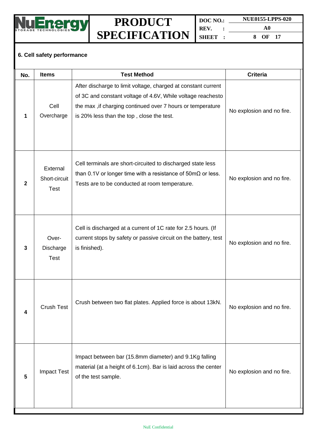

**DOC NO.: NUE0155-LPPS-020 REV. : SHEET : A0 8 OF 17**

### **6. Cell safety performance**

| No.          | <b>Items</b>                             | <b>Test Method</b>                                                                                                                                                                                                                      | <b>Criteria</b>           |
|--------------|------------------------------------------|-----------------------------------------------------------------------------------------------------------------------------------------------------------------------------------------------------------------------------------------|---------------------------|
|              | Cell<br>Overcharge                       | After discharge to limit voltage, charged at constant current<br>of 3C and constant voltage of 4.6V, While voltage reachesto<br>the max, if charging continued over 7 hours or temperature<br>is 20% less than the top, close the test. | No explosion and no fire. |
| $\mathbf{2}$ | External<br>Short-circuit<br><b>Test</b> | Cell terminals are short-circuited to discharged state less<br>than 0.1V or longer time with a resistance of $50 \text{m}\Omega$ or less.<br>Tests are to be conducted at room temperature.                                             | No explosion and no fire. |
| 3            | Over-<br>Discharge<br><b>Test</b>        | Cell is discharged at a current of 1C rate for 2.5 hours. (If<br>current stops by safety or passive circuit on the battery, test<br>is finished).                                                                                       | No explosion and no fire. |
| 4            | <b>Crush Test</b>                        | Crush between two flat plates. Applied force is about 13kN.                                                                                                                                                                             | No explosion and no fire. |
| 5            | <b>Impact Test</b>                       | Impact between bar (15.8mm diameter) and 9.1Kg falling<br>material (at a height of 6.1cm). Bar is laid across the center<br>of the test sample.                                                                                         | No explosion and no fire. |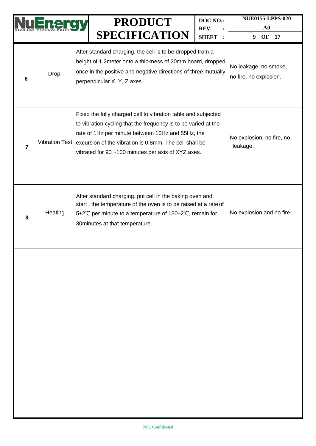|                |                       | <b>PRODUCT</b><br><b>SPECIFICATION</b>                                                                                                                                                                                                                                                               | DOC NO.:<br>REV.<br><b>SHEET</b> | <b>NUE0155-LPPS-020</b><br>${\bf A0}$<br><b>17</b><br>9<br>OF |
|----------------|-----------------------|------------------------------------------------------------------------------------------------------------------------------------------------------------------------------------------------------------------------------------------------------------------------------------------------------|----------------------------------|---------------------------------------------------------------|
| 6              | Drop                  | After standard charging, the cell is to be dropped from a<br>height of 1.2 meter onto a thickness of 20mm board, dropped<br>once in the positive and negative directions of three mutually<br>perpendicular X, Y, Z axes.                                                                            |                                  | No leakage, no smoke,<br>no fire, no explosion.               |
| $\overline{7}$ | <b>Vibration Test</b> | Fixed the fully charged cell to vibration table and subjected<br>to vibration cycling that the frequency is to be varied at the<br>rate of 1Hz per minute between 10Hz and 55Hz, the<br>excursion of the vibration is 0.8mm. The cell shall be<br>vibrated for 90 ~100 minutes per axis of XYZ axes. |                                  | No explosion, no fire, no<br>leakage.                         |
| 8              | Heating               | After standard charging, put cell in the baking oven and<br>start, the temperature of the oven is to be raised at a rate of<br>5±2°C per minute to a temperature of 130±2°C, remain for<br>30 minutes at that temperature.                                                                           |                                  | No explosion and no fire.                                     |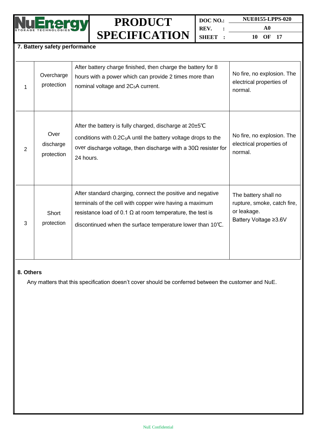

**DOC NO.: REV. : SHEET : NUE0155-LPPS-020 A0**

**10 OF 17**

#### **7. Battery safety performance**

|   | Overcharge<br>protection        | After battery charge finished, then charge the battery for 8<br>hours with a power which can provide 2 times more than<br>nominal voltage and 2C <sub>5</sub> A current.                                                                                | No fire, no explosion. The<br>electrical properties of<br>normal.                           |
|---|---------------------------------|---------------------------------------------------------------------------------------------------------------------------------------------------------------------------------------------------------------------------------------------------------|---------------------------------------------------------------------------------------------|
| 2 | Over<br>discharge<br>protection | After the battery is fully charged, discharge at $20\pm5^{\circ}C$<br>conditions with $0.2C_5A$ until the battery voltage drops to the<br>over discharge voltage, then discharge with a $30\Omega$ resister for<br>24 hours.                            | No fire, no explosion. The<br>electrical properties of<br>normal.                           |
| 3 | Short<br>protection             | After standard charging, connect the positive and negative<br>terminals of the cell with copper wire having a maximum<br>resistance load of 0.1 $\Omega$ at room temperature, the test is<br>discontinued when the surface temperature lower than 10°C. | The battery shall no<br>rupture, smoke, catch fire,<br>or leakage.<br>Battery Voltage ≥3.6V |

#### **8. Others**

Any matters that this specification doesn't cover should be conferred between the customer and NuE.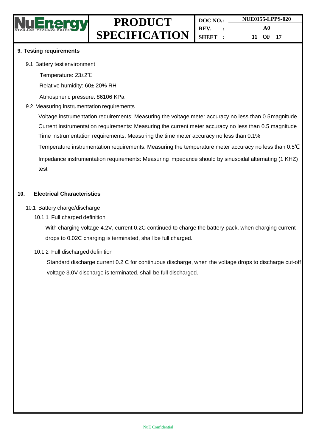

#### **9. Testing requirements**

#### 9.1 Battery test environment

Temperature: 23±2℃

Relative humidity: 60± 20% RH

Atmospheric pressure: 86106 KPa

#### 9.2 Measuring instrumentation requirements

Voltage instrumentation requirements: Measuring the voltage meter accuracy no less than 0.5magnitude Current instrumentation requirements: Measuring the current meter accuracy no less than 0.5 magnitude Time instrumentation requirements: Measuring the time meter accuracy no less than 0.1%

Temperature instrumentation requirements: Measuring the temperature meter accuracy no less than 0.5℃

Impedance instrumentation requirements: Measuring impedance should by sinusoidal alternating (1 KHZ) test

#### **10. Electrical Characteristics**

#### 10.1 Battery charge/discharge

10.1.1 Full charged definition

With charging voltage 4.2V, current 0.2C continued to charge the battery pack, when charging current drops to 0.02C charging is terminated, shall be full charged.

#### 10.1.2 Full discharged definition

Standard discharge current 0.2 C for continuous discharge, when the voltage drops to discharge cut-off voltage 3.0V discharge is terminated, shall be full discharged.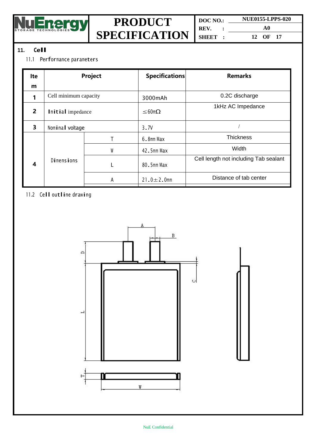

**DOC NO.: REV. : SHEET : NUE0155-LPPS-020 A0 12 OF 17**

#### **11. Cell**

#### 11.1 Performance parameters

| Ite            | Project               |   | Specifications   | <b>Remarks</b>                        |
|----------------|-----------------------|---|------------------|---------------------------------------|
| m              |                       |   |                  |                                       |
|                | Cell minimum capacity |   | 3000mAh          | 0.2C discharge                        |
| $\overline{2}$ | Initial impedance     |   | $<$ 60m $\Omega$ | 1kHz AC Impedance                     |
| 3              | Nominal voltage       |   | 3.7V             |                                       |
|                |                       |   | 6.8mm Max        | <b>Thickness</b>                      |
|                |                       | W | 42.5mm Max       | Width                                 |
| 4              | <b>Dimensions</b>     |   | 80.5mm Max       | Cell length not including Tab sealant |
|                |                       | А | 21.0 $\pm$ 2.0mm | Distance of tab center                |

#### 11.2 Cell outline drawing

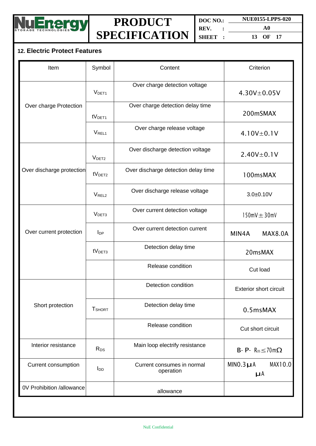

**DOC NO.: NUE0155-LPPS-020 REV. : SHEET :**

**A0 13 OF 17**

### **12. Electric Protect Features**

| Item                      | Symbol                 | Content                                 | Criterion                                   |
|---------------------------|------------------------|-----------------------------------------|---------------------------------------------|
|                           | V <sub>DET1</sub>      | Over charge detection voltage           | $4.30V + 0.05V$                             |
| Over charge Protection    | tV <sub>DET1</sub>     | Over charge detection delay time        | 200mSMAX                                    |
|                           | <b>VREL1</b>           | Over charge release voltage             | $4.10V \pm 0.1V$                            |
|                           | V <sub>DET2</sub>      | Over discharge detection voltage        | $2.40V + 0.1V$                              |
| Over discharge protection | tV <sub>DET2</sub>     | Over discharge detection delay time     | 100msMAX                                    |
|                           | V <sub>REL2</sub>      | Over discharge release voltage          | $3.0 + 0.10V$                               |
|                           | V <sub>DET3</sub>      | Over current detection voltage          | $150$ m $V \pm 30$ m $V$                    |
| Over current protection   | $I_{DP}$               | Over current detection current          | MIN4A<br><b>MAX8.0A</b>                     |
|                           | tV <sub>DET3</sub>     | Detection delay time                    | 20msMAX                                     |
|                           |                        | Release condition                       | Cut load                                    |
|                           |                        | Detection condition                     | <b>Exterior short circuit</b>               |
| Short protection          | <b>T</b> SHORT         | Detection delay time                    | 0.5msMAX                                    |
|                           |                        | Release condition                       | Cut short circuit                           |
| Interior resistance       | R <sub>DS</sub>        | Main loop electrify resistance          | $B - P - R_{DS} \leq 70 \text{m}\Omega$     |
| Current consumption       | <b>I</b> <sub>DD</sub> | Current consumes in normal<br>operation | MINO.3 <sub>µ</sub> A<br>MAX10.0<br>$\mu$ A |
| 0V Prohibition /allowance |                        | allowance                               |                                             |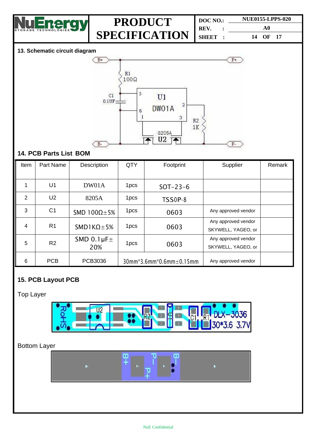

| DOC NO. |  | <b>NUE0155-LPPS-020</b> |  |  |
|---------|--|-------------------------|--|--|
| REV.    |  | A0                      |  |  |
| SHEET:  |  | 14 OF 17                |  |  |

#### **13. Schematic circuit diagram**



#### **14. PCB Parts List BOM**

| Item           | Part Name      | Description                  | QTY                                       | Footprint  | Supplier                                  | Remark |
|----------------|----------------|------------------------------|-------------------------------------------|------------|-------------------------------------------|--------|
|                |                |                              |                                           |            |                                           |        |
|                | U1             | DW01A                        | 1pcs                                      | $SOT-23-6$ |                                           |        |
| $\overline{2}$ | U <sub>2</sub> | 8205A                        | 1pcs                                      | TSS0P-8    |                                           |        |
| 3              | C <sub>1</sub> | SMD $100\Omega \pm 5\%$      | 1pcs                                      | 0603       | Any approved vendor                       |        |
| 4              | R <sub>1</sub> | $SMDIK\Omega$ + 5%           | 1 <sub>pcs</sub>                          | 0603       | Any approved vendor<br>SKYWELL, YAGEO, or |        |
| 5              | R <sub>2</sub> | SMD 0.1 $\mu$ F $\pm$<br>20% | 1 <sub>pcs</sub>                          | 0603       | Any approved vendor<br>SKYWELL, YAGEO, or |        |
| 6              | <b>PCB</b>     | PCB3036                      | $30$ mm* $3.6$ mm* $0.6$ mm $\pm 0.15$ mm |            | Any approved vendor                       |        |

### **15. PCB Layout PCB**

### Top Layer



#### Bottom Layer

| P+<br>a. |  |
|----------|--|
|          |  |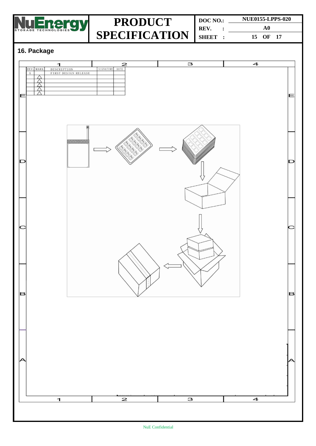

**DOC NO.: REV. : SHEET : NUE0155-LPPS-020 A0 15 OF 17**

### **16. Package**

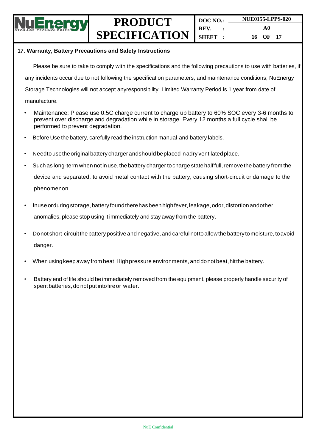

#### **17. Warranty, Battery Precautions and Safety Instructions**

Please be sure to take to comply with the specifications and the following precautions to use with batteries, if any incidents occur due to not following the specification parameters, and maintenance conditions, NuEnergy Storage Technologies will not accept anyresponsibility. Limited Warranty Period is 1 year from date of manufacture.

- Maintenance: Please use 0.5C charge current to charge up battery to 60% SOC every 3-6 months to prevent over discharge and degradation while in storage. Every 12 months a full cycle shall be performed to prevent degradation.
- Before Use the battery, carefully read the instruction manual and battery labels.
- Needto usetheoriginalbattery chargerandshould beplaced inadry ventilatedplace.
- Such as long-term when not in use, the battery charger to charge state half full, remove the battery from the device and separated, to avoid metal contact with the battery, causing short-circuit or damage to the phenomenon.
- Inuse orduring storage, battery found there has been high fever, leakage, odor, distortion andother anomalies, please stop using it immediately and stay away from the battery.
- Donot short-circuitthebattery positive andnegative, andcareful nottoallowthe battery tomoisture, toavoid danger.
- When using keep away from heat, High pressure environments, and donot beat, hit the battery.
- Battery end of life should be immediately removed from the equipment, please properly handle security of spent batteries, do notput intofireor water.